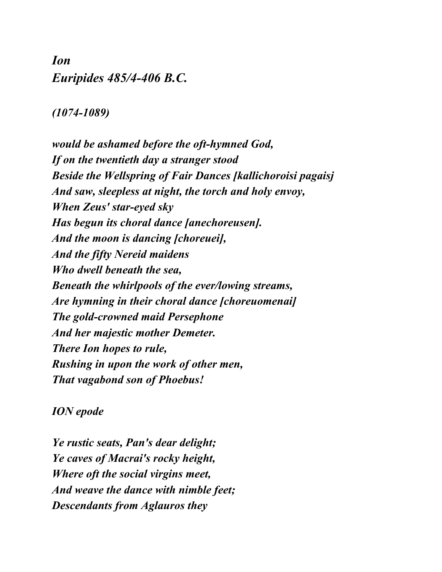## *Ion Euripides 485/4-406 B.C.*

## *(1074-1089)*

*would be ashamed before the oft-hymned God, If on the twentieth day a stranger stood Beside the Wellspring of Fair Dances [kallichoroisi pagaisj And saw, sleepless at night, the torch and holy envoy, When Zeus' star-eyed sky Has begun its choral dance [anechoreusen]. And the moon is dancing [choreuei], And the fifty Nereid maidens Who dwell beneath the sea, Beneath the whirlpools of the ever/lowing streams, Are hymning in their choral dance [choreuomenai] The gold-crowned maid Persephone And her majestic mother Demeter. There Ion hopes to rule, Rushing in upon the work of other men, That vagabond son of Phoebus!*

## *ION epode*

*Ye rustic seats, Pan's dear delight; Ye caves of Macrai's rocky height, Where oft the social virgins meet, And weave the dance with nimble feet; Descendants from Aglauros they*